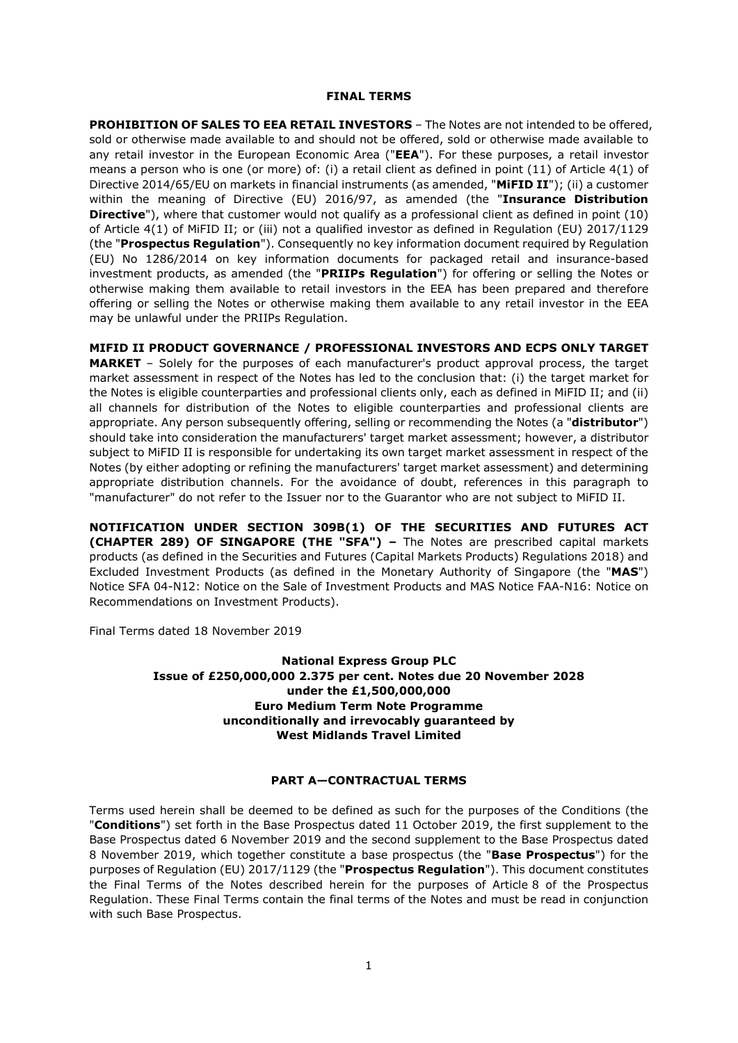#### **FINAL TERMS**

**PROHIBITION OF SALES TO EEA RETAIL INVESTORS** – The Notes are not intended to be offered, sold or otherwise made available to and should not be offered, sold or otherwise made available to any retail investor in the European Economic Area ("**EEA**"). For these purposes, a retail investor means a person who is one (or more) of: (i) a retail client as defined in point (11) of Article 4(1) of Directive 2014/65/EU on markets in financial instruments (as amended, "**MiFID II**"); (ii) a customer within the meaning of Directive (EU) 2016/97, as amended (the "**Insurance Distribution Directive**"), where that customer would not qualify as a professional client as defined in point (10) of Article 4(1) of MiFID II; or (iii) not a qualified investor as defined in Regulation (EU) 2017/1129 (the "**Prospectus Regulation**"). Consequently no key information document required by Regulation (EU) No 1286/2014 on key information documents for packaged retail and insurance-based investment products, as amended (the "**PRIIPs Regulation**") for offering or selling the Notes or otherwise making them available to retail investors in the EEA has been prepared and therefore offering or selling the Notes or otherwise making them available to any retail investor in the EEA may be unlawful under the PRIIPs Regulation.

**MIFID II PRODUCT GOVERNANCE / PROFESSIONAL INVESTORS AND ECPS ONLY TARGET MARKET** – Solely for the purposes of each manufacturer's product approval process, the target market assessment in respect of the Notes has led to the conclusion that: (i) the target market for the Notes is eligible counterparties and professional clients only, each as defined in MiFID II; and (ii) all channels for distribution of the Notes to eligible counterparties and professional clients are appropriate. Any person subsequently offering, selling or recommending the Notes (a "**distributor**") should take into consideration the manufacturers' target market assessment; however, a distributor subject to MiFID II is responsible for undertaking its own target market assessment in respect of the Notes (by either adopting or refining the manufacturers' target market assessment) and determining appropriate distribution channels. For the avoidance of doubt, references in this paragraph to "manufacturer" do not refer to the Issuer nor to the Guarantor who are not subject to MiFID II.

**NOTIFICATION UNDER SECTION 309B(1) OF THE SECURITIES AND FUTURES ACT (CHAPTER 289) OF SINGAPORE (THE "SFA") –** The Notes are prescribed capital markets products (as defined in the Securities and Futures (Capital Markets Products) Regulations 2018) and Excluded Investment Products (as defined in the Monetary Authority of Singapore (the "**MAS**") Notice SFA 04-N12: Notice on the Sale of Investment Products and MAS Notice FAA-N16: Notice on Recommendations on Investment Products).

Final Terms dated 18 November 2019

## **National Express Group PLC Issue of £250,000,000 2.375 per cent. Notes due 20 November 2028 under the £1,500,000,000 Euro Medium Term Note Programme unconditionally and irrevocably guaranteed by West Midlands Travel Limited**

# **PART A—CONTRACTUAL TERMS**

Terms used herein shall be deemed to be defined as such for the purposes of the Conditions (the "**Conditions**") set forth in the Base Prospectus dated 11 October 2019, the first supplement to the Base Prospectus dated 6 November 2019 and the second supplement to the Base Prospectus dated 8 November 2019, which together constitute a base prospectus (the "**Base Prospectus**") for the purposes of Regulation (EU) 2017/1129 (the "**Prospectus Regulation**"). This document constitutes the Final Terms of the Notes described herein for the purposes of Article 8 of the Prospectus Regulation. These Final Terms contain the final terms of the Notes and must be read in conjunction with such Base Prospectus.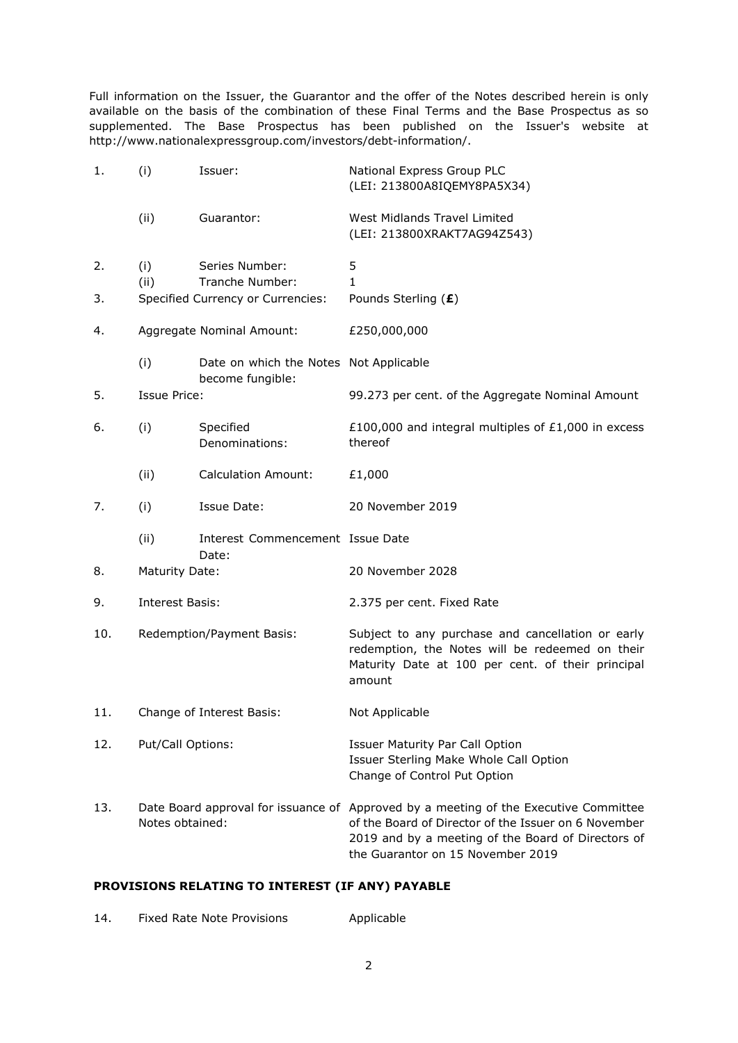Full information on the Issuer, the Guarantor and the offer of the Notes described herein is only available on the basis of the combination of these Final Terms and the Base Prospectus as so supplemented. The Base Prospectus has been published on the Issuer's website at http://www.nationalexpressgroup.com/investors/debt-information/.

| 1.  | (i)                       | Issuer:                                                    | National Express Group PLC<br>(LEI: 213800A8IQEMY8PA5X34)                                                                                                                                                                               |
|-----|---------------------------|------------------------------------------------------------|-----------------------------------------------------------------------------------------------------------------------------------------------------------------------------------------------------------------------------------------|
|     | (ii)                      | Guarantor:                                                 | West Midlands Travel Limited<br>(LEI: 213800XRAKT7AG94Z543)                                                                                                                                                                             |
| 2.  | (i)                       | Series Number:                                             | 5                                                                                                                                                                                                                                       |
|     | (ii)                      | Tranche Number:                                            | 1                                                                                                                                                                                                                                       |
| 3.  |                           | Specified Currency or Currencies:                          | Pounds Sterling (£)                                                                                                                                                                                                                     |
| 4.  | Aggregate Nominal Amount: |                                                            | £250,000,000                                                                                                                                                                                                                            |
|     | (i)                       | Date on which the Notes Not Applicable<br>become fungible: |                                                                                                                                                                                                                                         |
| 5.  | <b>Issue Price:</b>       |                                                            | 99.273 per cent. of the Aggregate Nominal Amount                                                                                                                                                                                        |
| 6.  | (i)                       | Specified<br>Denominations:                                | £100,000 and integral multiples of $£1,000$ in excess<br>thereof                                                                                                                                                                        |
|     | (ii)                      | <b>Calculation Amount:</b>                                 | £1,000                                                                                                                                                                                                                                  |
| 7.  | (i)                       | Issue Date:                                                | 20 November 2019                                                                                                                                                                                                                        |
|     | (ii)                      | Interest Commencement Issue Date<br>Date:                  |                                                                                                                                                                                                                                         |
| 8.  | <b>Maturity Date:</b>     |                                                            | 20 November 2028                                                                                                                                                                                                                        |
| 9.  | Interest Basis:           |                                                            | 2.375 per cent. Fixed Rate                                                                                                                                                                                                              |
| 10. | Redemption/Payment Basis: |                                                            | Subject to any purchase and cancellation or early<br>redemption, the Notes will be redeemed on their<br>Maturity Date at 100 per cent. of their principal<br>amount                                                                     |
| 11. | Change of Interest Basis: |                                                            | Not Applicable                                                                                                                                                                                                                          |
| 12. | Put/Call Options:         |                                                            | <b>Issuer Maturity Par Call Option</b><br>Issuer Sterling Make Whole Call Option<br>Change of Control Put Option                                                                                                                        |
| 13. | Notes obtained:           |                                                            | Date Board approval for issuance of Approved by a meeting of the Executive Committee<br>of the Board of Director of the Issuer on 6 November<br>2019 and by a meeting of the Board of Directors of<br>the Guarantor on 15 November 2019 |

# **PROVISIONS RELATING TO INTEREST (IF ANY) PAYABLE**

| 14. | Fixed Rate Note Provisions | Applicable |
|-----|----------------------------|------------|
|-----|----------------------------|------------|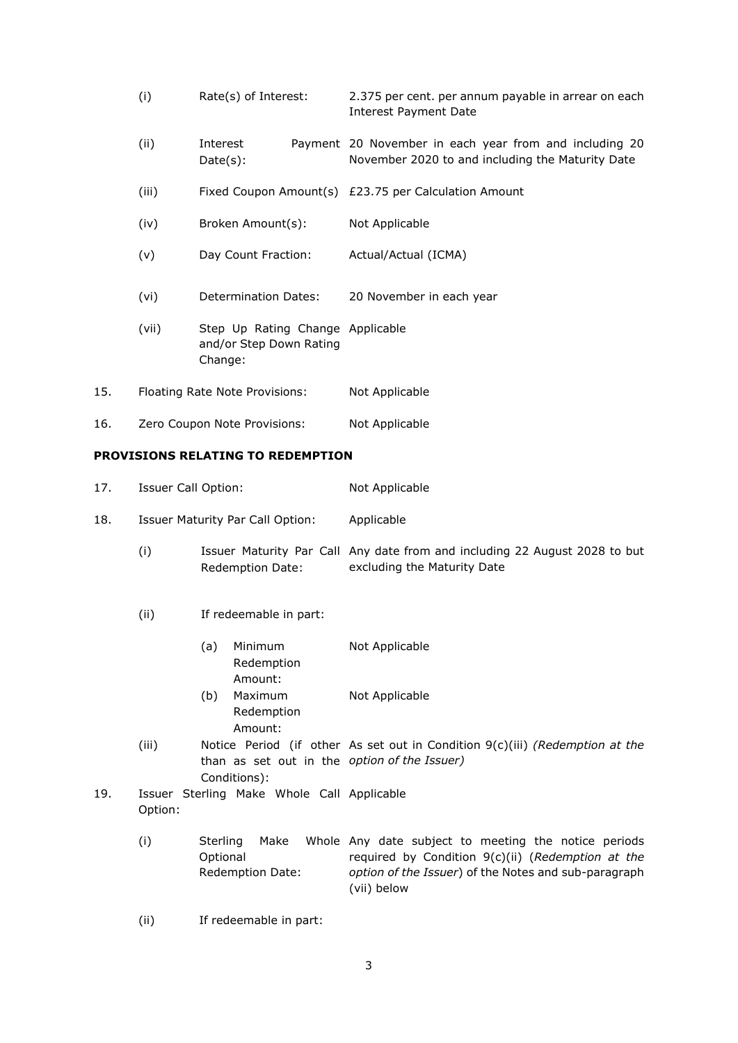- (i) Rate(s) of Interest: 2.375 per cent. per annum payable in arrear on each Interest Payment Date (ii) Interest Payment 20 November in each year from and including 20 Date(s): November 2020 to and including the Maturity Date (iii) Fixed Coupon Amount(s) £23.75 per Calculation Amount (iv) Broken Amount(s): Not Applicable (v) Day Count Fraction: Actual/Actual (ICMA) (vi) Determination Dates: 20 November in each year (vii) Step Up Rating Change Applicable and/or Step Down Rating Change: 15. Floating Rate Note Provisions: Not Applicable
- 16. Zero Coupon Note Provisions: Not Applicable

#### **PROVISIONS RELATING TO REDEMPTION**

- 17. Issuer Call Option: Not Applicable
- 18. Issuer Maturity Par Call Option: Applicable
	- (i) Issuer Maturity Par Call Any date from and including 22 August 2028 to but Redemption Date: excluding the Maturity Date
	- (ii) If redeemable in part:
		- (a) Minimum Redemption Amount: Not Applicable (b) Maximum Redemption Amount: Not Applicable
	- (iii) Notice Period (if other As set out in Condition 9(c)(iii) *(Redemption at the*  than as set out in the *option of the Issuer)* Conditions):
- 19. Issuer Sterling Make Whole Call Applicable Option:
	- (i) Sterling Make Whole Any date subject to meeting the notice periods Optional Redemption Date: required by Condition 9(c)(ii) (*Redemption at the option of the Issuer*) of the Notes and sub-paragraph (vii) below
	- (ii) If redeemable in part: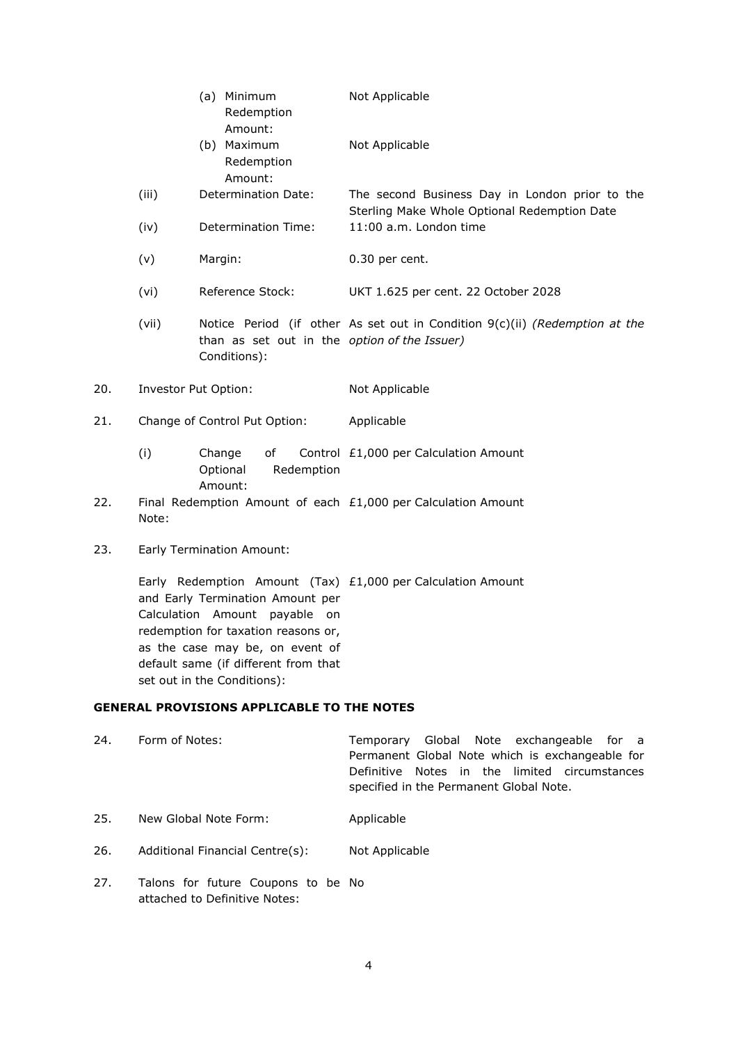|     |                      | Minimum<br>(a)<br>Redemption<br>Amount:                      | Not Applicable                                                                                 |
|-----|----------------------|--------------------------------------------------------------|------------------------------------------------------------------------------------------------|
|     |                      | (b) Maximum<br>Redemption<br>Amount:                         | Not Applicable                                                                                 |
|     | (iii)                | Determination Date:                                          | The second Business Day in London prior to the<br>Sterling Make Whole Optional Redemption Date |
|     | (iv)                 | Determination Time:                                          | 11:00 a.m. London time                                                                         |
|     | (v)                  | Margin:                                                      | 0.30 per cent.                                                                                 |
|     | (vi)                 | Reference Stock:                                             | UKT 1.625 per cent. 22 October 2028                                                            |
|     | (vii)                | than as set out in the option of the Issuer)<br>Conditions): | Notice Period (if other As set out in Condition 9(c)(ii) (Redemption at the                    |
| 20. | Investor Put Option: |                                                              | Not Applicable                                                                                 |
| 21. |                      | Change of Control Put Option:                                | Applicable                                                                                     |
|     | (i)                  | Change<br>0f                                                 | Control £1,000 per Calculation Amount                                                          |

- Optional Redemption Amount:
- 22. Final Redemption Amount of each  $£1,000$  per Calculation Amount Note:
- 23. Early Termination Amount:

Early Redemption Amount (Tax) £1,000 per Calculation Amount and Early Termination Amount per Calculation Amount payable on redemption for taxation reasons or, as the case may be, on event of default same (if different from that set out in the Conditions):

# **GENERAL PROVISIONS APPLICABLE TO THE NOTES**

| Temporary Global Note exchangeable for a        |  |
|-------------------------------------------------|--|
| Permanent Global Note which is exchangeable for |  |
| Definitive Notes in the limited circumstances   |  |
|                                                 |  |
|                                                 |  |

- 25. New Global Note Form: Applicable
- 26. Additional Financial Centre(s): Not Applicable
- 27. Talons for future Coupons to be Noattached to Definitive Notes: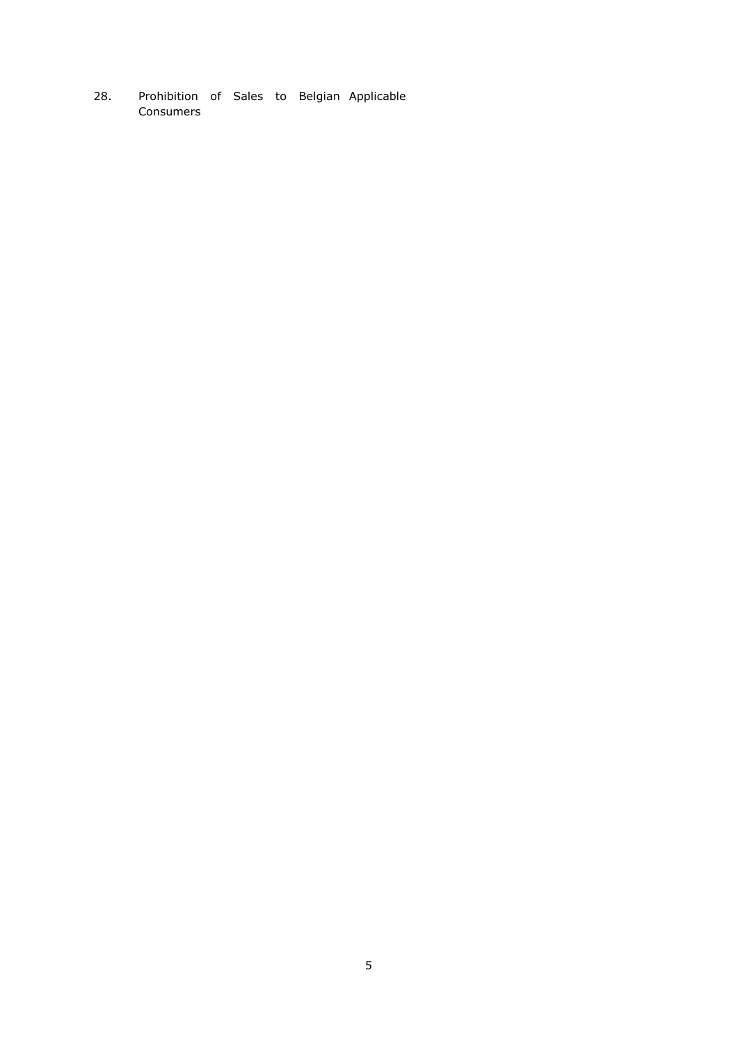28. Prohibition of Sales to Belgian ApplicableConsumers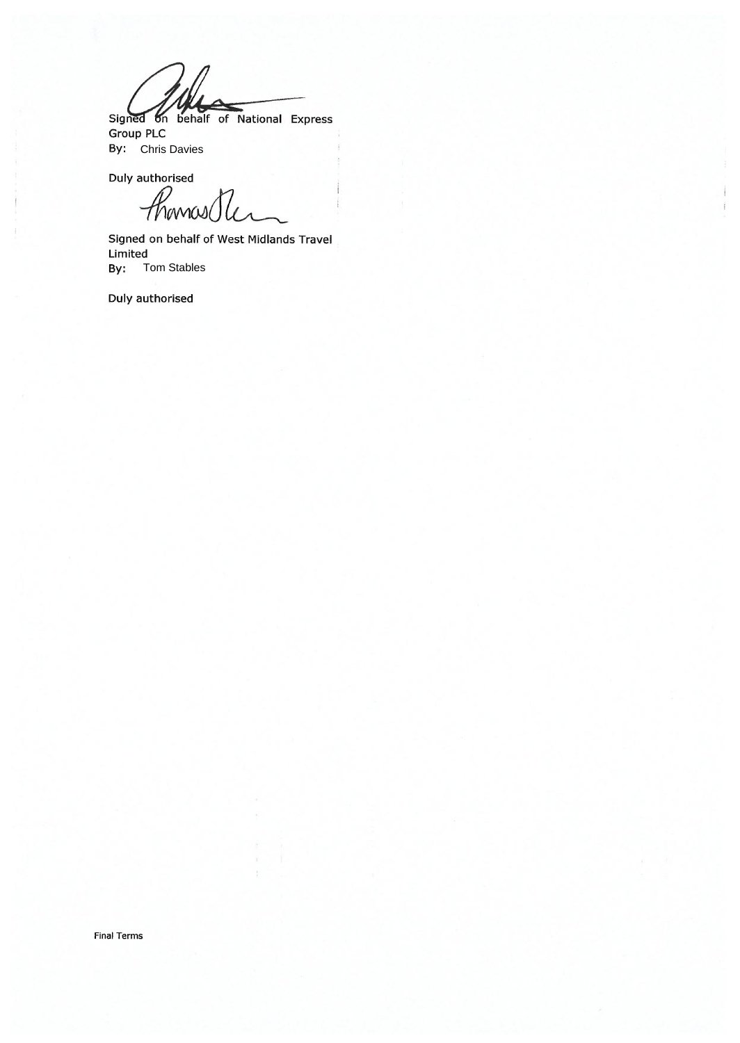Signed on behalf of National Express

**Group PLC By:** Chris Davies

Duly authorised

*Hornos Ole* 

ł

ł

Signed on behalf of West Midlands Travel Limited Tom Stables By:

Duly authorised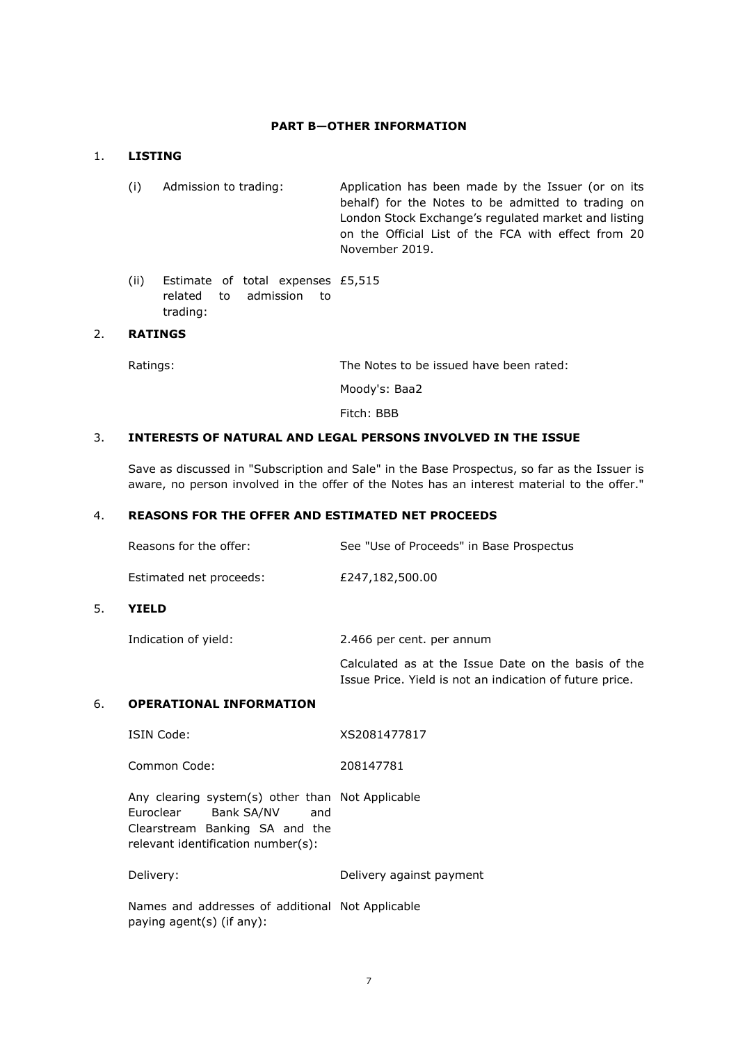## **PART B—OTHER INFORMATION**

## 1. **LISTING**

- (i) Admission to trading: Application has been made by the Issuer (or on its behalf) for the Notes to be admitted to trading on London Stock Exchange's regulated market and listing on the Official List of the FCA with effect from 20 November 2019.
- (ii) Estimate of total expenses £5,515 related to admission to trading:

# 2. **RATINGS**

Ratings: The Notes to be issued have been rated:

Moody's: Baa2

Fitch: BBB

#### 3. **INTERESTS OF NATURAL AND LEGAL PERSONS INVOLVED IN THE ISSUE**

Save as discussed in "Subscription and Sale" in the Base Prospectus, so far as the Issuer is aware, no person involved in the offer of the Notes has an interest material to the offer."

### 4. **REASONS FOR THE OFFER AND ESTIMATED NET PROCEEDS**

| Reasons for the offer:  | See "Use of Proceeds" in Base Prospectus |
|-------------------------|------------------------------------------|
| Estimated net proceeds: | £247,182,500.00                          |

### 5. **YIELD**

Indication of yield: 2.466 per cent. per annum

Calculated as at the Issue Date on the basis of the Issue Price. Yield is not an indication of future price.

### 6. **OPERATIONAL INFORMATION**

| ISIN Code: | XS2081477817 |
|------------|--------------|
|            |              |

Common Code: 208147781

Any clearing system(s) other than Not Applicable Euroclear Bank SA/NV and Clearstream Banking SA and the relevant identification number(s):

Delivery: Delivery against payment

Names and addresses of additional Not Applicablepaying agent(s) (if any):